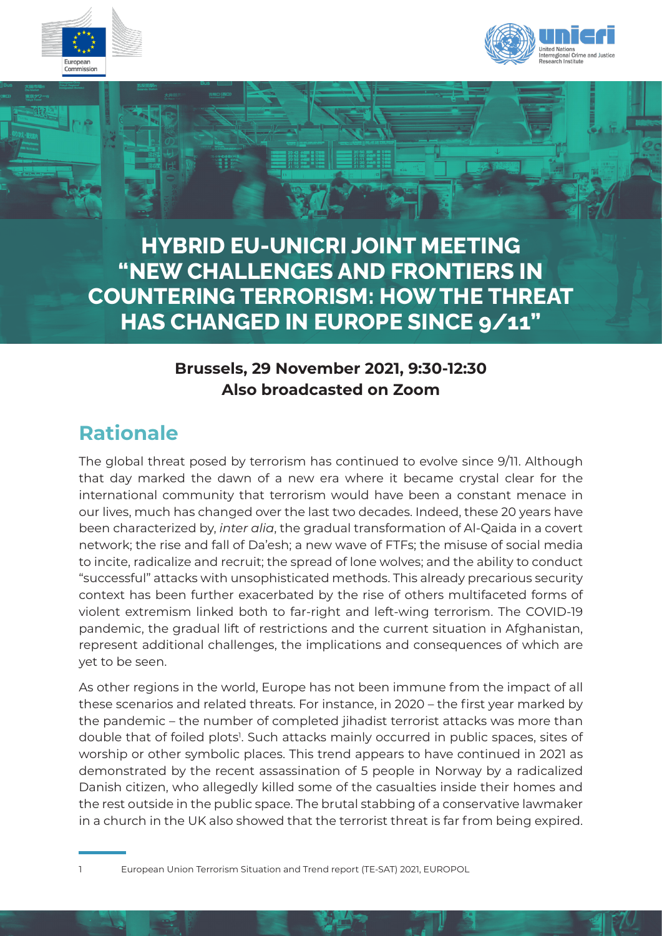



**HYBRID EU-UNICRI JOINT MEETING "NEW CHALLENGES AND FRONTIERS IN COUNTERING TERRORISM: HOW THE THREAT HAS CHANGED IN EUROPE SINCE 9/11"**

# **Brussels, 29 November 2021, 9:30-12:30 Also broadcasted on Zoom**

# **Rationale**

The global threat posed by terrorism has continued to evolve since 9/11. Although that day marked the dawn of a new era where it became crystal clear for the international community that terrorism would have been a constant menace in our lives, much has changed over the last two decades. Indeed, these 20 years have been characterized by, *inter alia*, the gradual transformation of Al-Qaida in a covert network; the rise and fall of Da'esh; a new wave of FTFs; the misuse of social media to incite, radicalize and recruit; the spread of lone wolves; and the ability to conduct "successful" attacks with unsophisticated methods. This already precarious security context has been further exacerbated by the rise of others multifaceted forms of violent extremism linked both to far-right and left-wing terrorism. The COVID-19 pandemic, the gradual lift of restrictions and the current situation in Afghanistan, represent additional challenges, the implications and consequences of which are yet to be seen.

As other regions in the world, Europe has not been immune from the impact of all these scenarios and related threats. For instance, in 2020 – the first year marked by the pandemic – the number of completed jihadist terrorist attacks was more than double that of foiled plots<sup>1</sup>. Such attacks mainly occurred in public spaces, sites of worship or other symbolic places. This trend appears to have continued in 2021 as demonstrated by the recent assassination of 5 people in Norway by a radicalized Danish citizen, who allegedly killed some of the casualties inside their homes and the rest outside in the public space. The brutal stabbing of a conservative lawmaker in a church in the UK also showed that the terrorist threat is far from being expired.

European Union Terrorism Situation and Trend report (TE-SAT) 2021, EUROPOL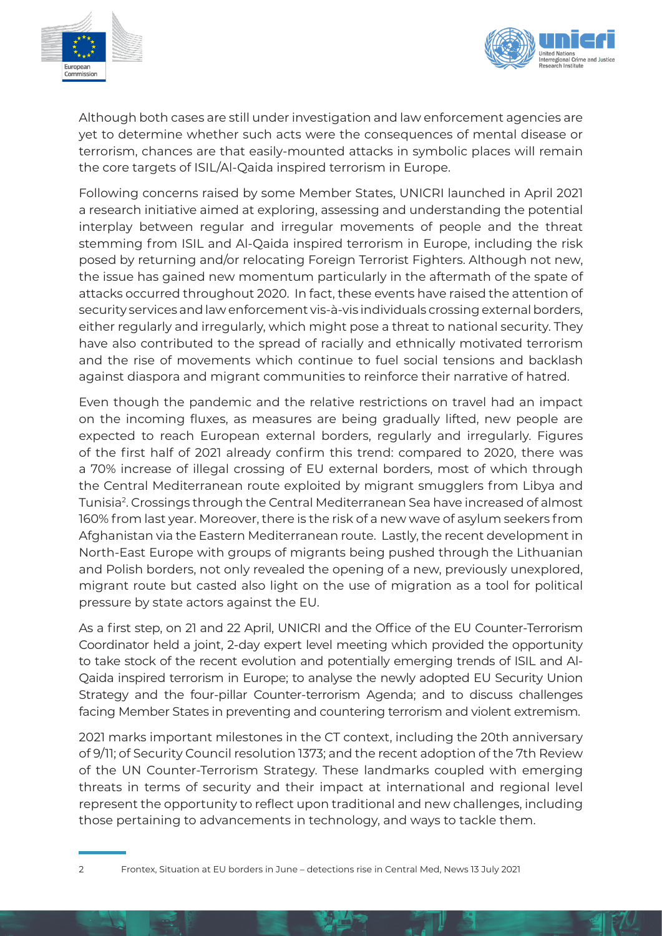



Although both cases are still under investigation and law enforcement agencies are yet to determine whether such acts were the consequences of mental disease or terrorism, chances are that easily-mounted attacks in symbolic places will remain the core targets of ISIL/Al-Qaida inspired terrorism in Europe.

Following concerns raised by some Member States, UNICRI launched in April 2021 a research initiative aimed at exploring, assessing and understanding the potential interplay between regular and irregular movements of people and the threat stemming from ISIL and Al-Qaida inspired terrorism in Europe, including the risk posed by returning and/or relocating Foreign Terrorist Fighters. Although not new, the issue has gained new momentum particularly in the aftermath of the spate of attacks occurred throughout 2020. In fact, these events have raised the attention of security services and law enforcement vis-à-vis individuals crossing external borders, either regularly and irregularly, which might pose a threat to national security. They have also contributed to the spread of racially and ethnically motivated terrorism and the rise of movements which continue to fuel social tensions and backlash against diaspora and migrant communities to reinforce their narrative of hatred.

Even though the pandemic and the relative restrictions on travel had an impact on the incoming fluxes, as measures are being gradually lifted, new people are expected to reach European external borders, regularly and irregularly. Figures of the first half of 2021 already confirm this trend: compared to 2020, there was a 70% increase of illegal crossing of EU external borders, most of which through the Central Mediterranean route exploited by migrant smugglers from Libya and Tunisia2. Crossings through the Central Mediterranean Sea have increased of almost 160% from last year. Moreover, there is the risk of a new wave of asylum seekers from Afghanistan via the Eastern Mediterranean route. Lastly, the recent development in North-East Europe with groups of migrants being pushed through the Lithuanian and Polish borders, not only revealed the opening of a new, previously unexplored, migrant route but casted also light on the use of migration as a tool for political pressure by state actors against the EU.

As a first step, on 21 and 22 April, UNICRI and the Office of the EU Counter-Terrorism Coordinator held a joint, 2-day expert level meeting which provided the opportunity to take stock of the recent evolution and potentially emerging trends of ISIL and Al-Qaida inspired terrorism in Europe; to analyse the newly adopted EU Security Union Strategy and the four-pillar Counter-terrorism Agenda; and to discuss challenges facing Member States in preventing and countering terrorism and violent extremism.

2021 marks important milestones in the CT context, including the 20th anniversary of 9/11; of Security Council resolution 1373; and the recent adoption of the 7th Review of the UN Counter-Terrorism Strategy. These landmarks coupled with emerging threats in terms of security and their impact at international and regional level represent the opportunity to reflect upon traditional and new challenges, including those pertaining to advancements in technology, and ways to tackle them.

<sup>2</sup> Frontex, Situation at EU borders in June – detections rise in Central Med, News 13 July 2021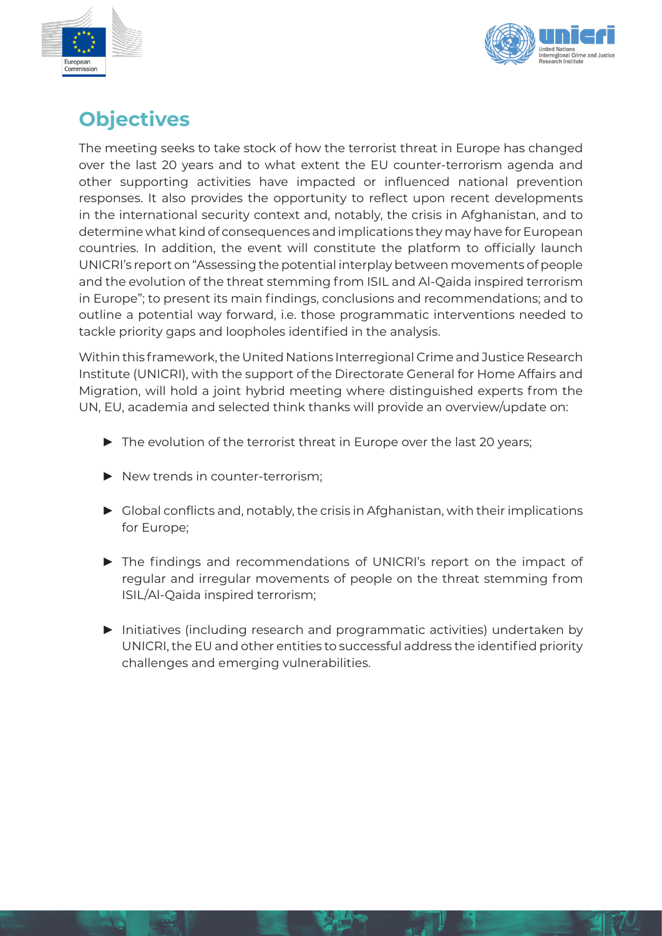



# **Objectives**

The meeting seeks to take stock of how the terrorist threat in Europe has changed over the last 20 years and to what extent the EU counter-terrorism agenda and other supporting activities have impacted or influenced national prevention responses. It also provides the opportunity to reflect upon recent developments in the international security context and, notably, the crisis in Afghanistan, and to determine what kind of consequences and implications they may have for European countries. In addition, the event will constitute the platform to officially launch UNICRI's report on "Assessing the potential interplay between movements of people and the evolution of the threat stemming from ISIL and Al-Qaida inspired terrorism in Europe"; to present its main findings, conclusions and recommendations; and to outline a potential way forward, i.e. those programmatic interventions needed to tackle priority gaps and loopholes identified in the analysis.

Within this framework, the United Nations Interregional Crime and Justice Research Institute (UNICRI), with the support of the Directorate General for Home Affairs and Migration, will hold a joint hybrid meeting where distinguished experts from the UN, EU, academia and selected think thanks will provide an overview/update on:

- $\blacktriangleright$  The evolution of the terrorist threat in Europe over the last 20 years;
- $\blacktriangleright$  New trends in counter-terrorism;
- $\triangleright$  Global conflicts and, notably, the crisis in Afghanistan, with their implications for Europe;
- ▶ The findings and recommendations of UNICRI's report on the impact of regular and irregular movements of people on the threat stemming from ISIL/Al-Qaida inspired terrorism;
- ► Initiatives (including research and programmatic activities) undertaken by UNICRI, the EU and other entities to successful address the identified priority challenges and emerging vulnerabilities.

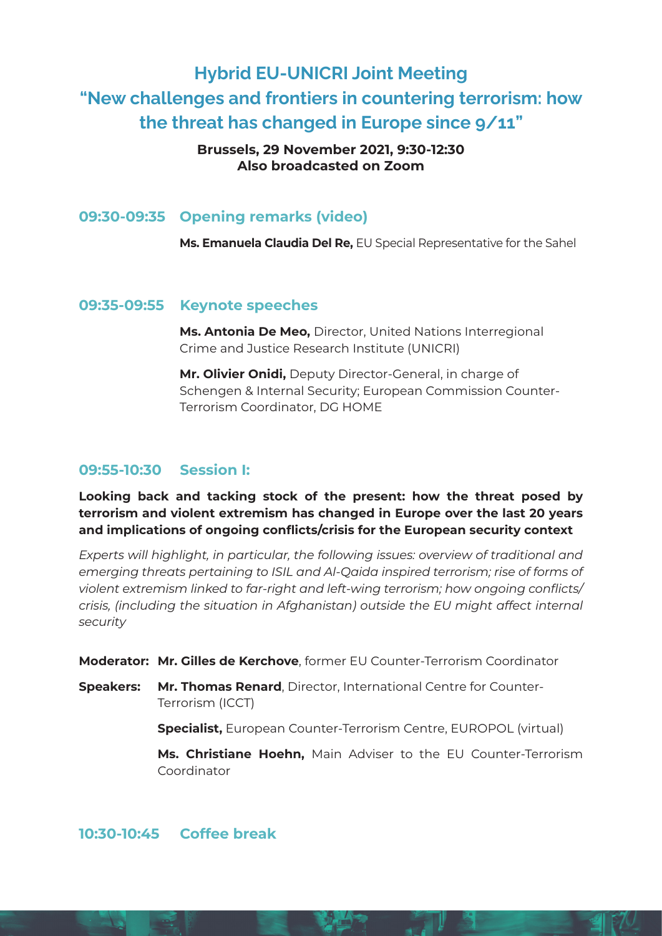# Hybrid EU-UNICRI Joint Meeting "New challenges and frontiers in countering terrorism: how the threat has changed in Europe since 9/11"

#### **Brussels, 29 November 2021, 9:30-12:30 Also broadcasted on Zoom**

## **09:30-09:35 Opening remarks (video)**

**Ms. Emanuela Claudia Del Re,** EU Special Representative for the Sahel

## **09:35-09:55 Keynote speeches**

**Ms. Antonia De Meo,** Director, United Nations Interregional Crime and Justice Research Institute (UNICRI)

**Mr. Olivier Onidi,** Deputy Director-General, in charge of Schengen & Internal Security; European Commission Counter-Terrorism Coordinator, DG HOME

# **09:55-10:30 Session I:**

**Looking back and tacking stock of the present: how the threat posed by terrorism and violent extremism has changed in Europe over the last 20 years and implications of ongoing conflicts/crisis for the European security context** 

*Experts will highlight, in particular, the following issues: overview of traditional and emerging threats pertaining to ISIL and Al-Qaida inspired terrorism; rise of forms of violent extremism linked to far-right and left-wing terrorism; how ongoing conflicts/ crisis, (including the situation in Afghanistan) outside the EU might affect internal security*

**Moderator: Mr. Gilles de Kerchove**, former EU Counter-Terrorism Coordinator

**Speakers: Mr. Thomas Renard**, Director, International Centre for Counter-Terrorism (ICCT)

**Specialist,** European Counter-Terrorism Centre, EUROPOL (virtual)

**Ms. Christiane Hoehn,** Main Adviser to the EU Counter-Terrorism Coordinator

# **10:30-10:45 Coffee break**